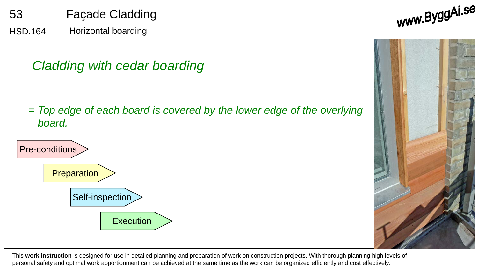www.ByggAi.se

# *Cladding with cedar boarding*

*= Top edge of each board is covered by the lower edge of the overlying board.*



This **work instruction** is designed for use in detailed planning and preparation of work on construction projects. With thorough planning high levels of personal safety and optimal work apportionment can be achieved at the same time as the work can be organized efficiently and cost effectively.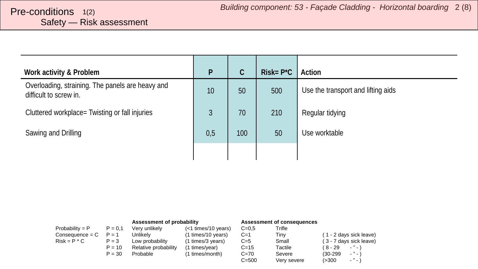# <span id="page-1-0"></span>Safety — Risk assessment

| Work activity & Problem                                                    | P   | C   | $Risk = P^*C$ | Action                             |
|----------------------------------------------------------------------------|-----|-----|---------------|------------------------------------|
| Overloading, straining. The panels are heavy and<br>difficult to screw in. | 10  | 50  | 500           | Use the transport and lifting aids |
| Cluttered workplace= Twisting or fall injuries                             | 3   | 70  | 210           | Regular tidying                    |
| Sawing and Drilling                                                        | 0,5 | 100 | 50            | Use worktable                      |
|                                                                            |     |     |               |                                    |

| Assessment of probability |           |                      |                     | Assessment of consequences |             |                              |
|---------------------------|-----------|----------------------|---------------------|----------------------------|-------------|------------------------------|
| Probability = $P$         | $P = 0.1$ | Very unlikely        | (<1 times/10 years) | $C = 0.5$                  | Trifle      |                              |
| $Consequence = C$         | $P = 1$   | Unlikelv             | (1 times/10 years)  | $C=1$                      | Tiny        | (1 - 2 days sick leave)      |
| $Risk = P * C$            | $P = 3$   | Low probability      | (1 times/3 years)   | $C=5$                      | Small       | (3 - 7 days sick leave)      |
|                           | $P = 10$  | Relative probability | (1 times/year)      | $C = 15$                   | Tactile     | ( 8 - 29<br>$\cdots$         |
|                           | $P = 30$  | Probable             | (1 times/month)     | $C = 70$                   | Severe      | $\cdots$<br>$(30-299)$       |
|                           |           |                      |                     | $C = 500$                  | Very severe | $\cdot$ " $\cdot$ "<br>(>300 |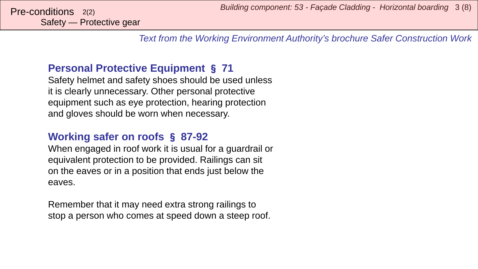*Text from the Working Environment Authority's brochure Safer Construction Work*

### **Personal Protective Equipment** § **71**

Safety helmet and safety shoes should be used unless it is clearly unnecessary. Other personal protective equipment such as eye protection, hearing protection and gloves should be worn when necessary.

### **Working safer on roofs** § **87-92**

When engaged in roof work it is usual for a guardrail or equivalent protection to be provided. Railings can sit on the eaves or in a position that ends just below the eaves.

Remember that it may need extra strong railings to stop a person who comes at speed down a steep roof.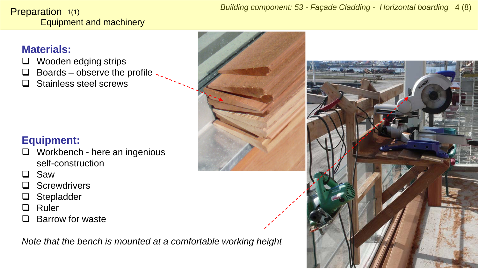#### <span id="page-3-0"></span>Equipment and machinery **Preparation**  $1(1)$

## **Materials:**

- □ Wooden edging strips
- $\Box$  Boards observe the profile
- □ Stainless steel screws

# **Equipment:**

- $\Box$  Workbench here an ingenious self-construction
- □ Saw
- □ Screwdrivers
- □ Stepladder
- **Q** Ruler
- Barrow for waste

*Note that the bench is mounted at a comfortable working height*

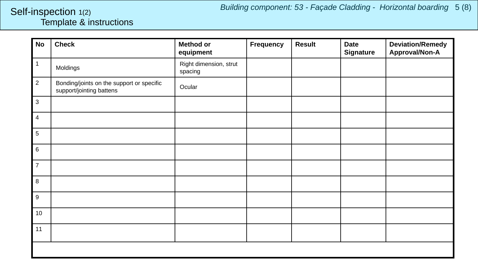#### <span id="page-4-0"></span>Template & instructions Self-inspection 1(2)

| <b>No</b>                 | <b>Check</b>                                                          | <b>Method or</b><br>equipment     | Frequency | <b>Result</b> | <b>Date</b><br><b>Signature</b> | <b>Deviation/Remedy</b><br>Approval/Non-A |  |
|---------------------------|-----------------------------------------------------------------------|-----------------------------------|-----------|---------------|---------------------------------|-------------------------------------------|--|
| $\mathbf{1}$              | Moldings                                                              | Right dimension, strut<br>spacing |           |               |                                 |                                           |  |
| $\overline{2}$            | Bonding/joints on the support or specific<br>support/jointing battens | Ocular                            |           |               |                                 |                                           |  |
| $\ensuremath{\mathsf{3}}$ |                                                                       |                                   |           |               |                                 |                                           |  |
| $\overline{4}$            |                                                                       |                                   |           |               |                                 |                                           |  |
| $\sqrt{5}$                |                                                                       |                                   |           |               |                                 |                                           |  |
| $\,6\,$                   |                                                                       |                                   |           |               |                                 |                                           |  |
| $\overline{7}$            |                                                                       |                                   |           |               |                                 |                                           |  |
| $\bf 8$                   |                                                                       |                                   |           |               |                                 |                                           |  |
| $\boldsymbol{9}$          |                                                                       |                                   |           |               |                                 |                                           |  |
| 10 <sup>°</sup>           |                                                                       |                                   |           |               |                                 |                                           |  |
| 11                        |                                                                       |                                   |           |               |                                 |                                           |  |
|                           |                                                                       |                                   |           |               |                                 |                                           |  |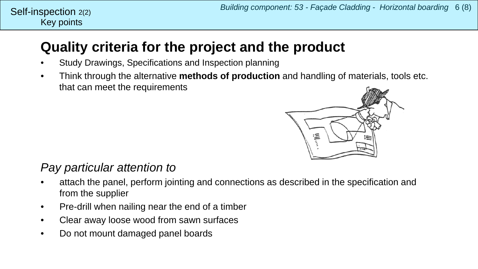#### Key points Self-inspection  $2(2)$

# **Quality criteria for the project and the product**

- Study Drawings, Specifications and Inspection planning
- Think through the alternative **methods of production** and handling of materials, tools etc. that can meet the requirements



## *Pay particular attention to*

- attach the panel, perform jointing and connections as described in the specification and from the supplier
- Pre-drill when nailing near the end of a timber
- Clear away loose wood from sawn surfaces
- Do not mount damaged panel boards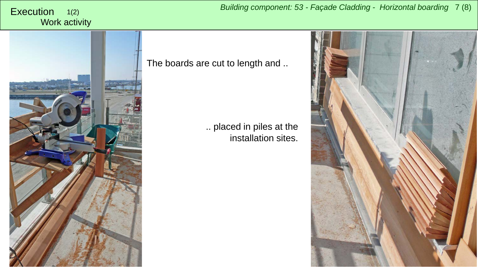#### <span id="page-6-0"></span>Work activity 1(2)



The boards are cut to length and ..

.. placed in piles at the installation sites.